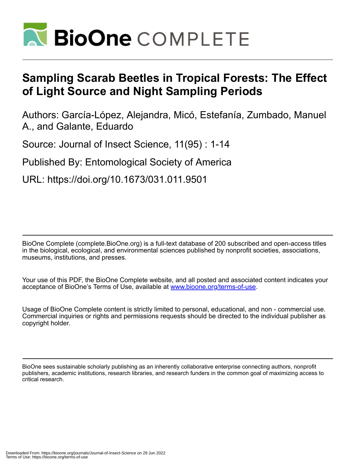

# **Sampling Scarab Beetles in Tropical Forests: The Effect of Light Source and Night Sampling Periods**

Authors: García-López, Alejandra, Micó, Estefanía, Zumbado, Manuel A., and Galante, Eduardo

Source: Journal of Insect Science, 11(95) : 1-14

Published By: Entomological Society of America

URL: https://doi.org/10.1673/031.011.9501

BioOne Complete (complete.BioOne.org) is a full-text database of 200 subscribed and open-access titles in the biological, ecological, and environmental sciences published by nonprofit societies, associations, museums, institutions, and presses.

Your use of this PDF, the BioOne Complete website, and all posted and associated content indicates your acceptance of BioOne's Terms of Use, available at www.bioone.org/terms-of-use.

Usage of BioOne Complete content is strictly limited to personal, educational, and non - commercial use. Commercial inquiries or rights and permissions requests should be directed to the individual publisher as copyright holder.

BioOne sees sustainable scholarly publishing as an inherently collaborative enterprise connecting authors, nonprofit publishers, academic institutions, research libraries, and research funders in the common goal of maximizing access to critical research.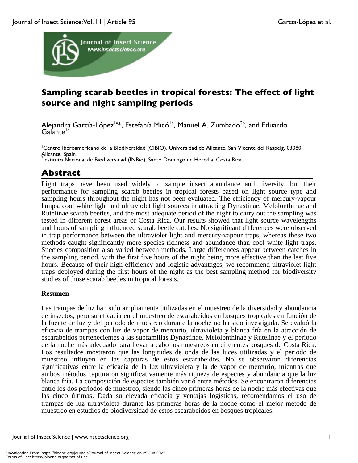

# **Sampling scarab beetles in tropical forests: The effect of light source and night sampling periods**

Alejandra García-López<sup>la\*</sup>, Estefanía Micó<sup>1b</sup>, Manuel A. Zumbado<sup>2b</sup>, and Eduardo Galante<sup>1c</sup>

<sup>1</sup>Centro Iberoamericano de la Biodiversidad (CIBIO), Universidad de Alicante, San Vicente del Raspeig, 03080 Alicante, Spain <sup>2</sup>Instituto Nacional de Biodiversidad (INBio), Santo Domingo de Heredia, Costa Rica

# **Abstract**

Light traps have been used widely to sample insect abundance and diversity, but their performance for sampling scarab beetles in tropical forests based on light source type and sampling hours throughout the night has not been evaluated. The efficiency of mercury*-v*apour lamps, cool white light and ultraviolet light sources in attracting Dynastinae, Melolonthinae and Rutelinae scarab beetles, and the most adequate period of the night to carry out the sampling was tested in different forest areas of Costa Rica. Our results showed that light source wavelengths and hours of sampling influenced scarab beetle catches. No significant differences were observed in trap performance between the ultraviolet light and mercury-vapour traps, whereas these two methods caught significantly more species richness and abundance than cool white light traps. Species composition also varied between methods. Large differences appear between catches in the sampling period, with the first five hours of the night being more effective than the last five hours. Because of their high efficiency and logistic advantages, we recommend ultraviolet light traps deployed during the first hours of the night as the best sampling method for biodiversity studies of those scarab beetles in tropical forests.

# **Resumen**

Las trampas de luz han sido ampliamente utilizadas en el muestreo de la diversidad y abundancia de insectos, pero su eficacia en el muestreo de escarabeidos en bosques tropicales en función de la fuente de luz y del periodo de muestreo durante la noche no ha sido investigada. Se evaluó la eficacia de trampas con luz de vapor de mercurio, ultravioleta y blanca fría en la atracción de escarabeidos pertenecientes a las subfamilias Dynastinae, Melolonthinae y Rutelinae y el periodo de la noche más adecuado para llevar a cabo los muestreos en diferentes bosques de Costa Rica. Los resultados mostraron que las longitudes de onda de las luces utilizadas y el periodo de muestreo influyen en las capturas de estos escarabeidos. No se observaron diferencias significativas entre la eficacia de la luz ultravioleta y la de vapor de mercurio, mientras que ambos métodos capturaron significativamente más riqueza de especies y abundancia que la luz blanca fría. La composición de especies también varió entre métodos. Se encontraron diferencias entre los dos periodos de muestreo, siendo las cinco primeras horas de la noche más efectivas que las cinco últimas. Dada su elevada eficacia y ventajas logísticas, recomendamos el uso de trampas de luz ultravioleta durante las primeras horas de la noche como el mejor método de muestreo en estudios de biodiversidad de estos escarabeidos en bosques tropicales.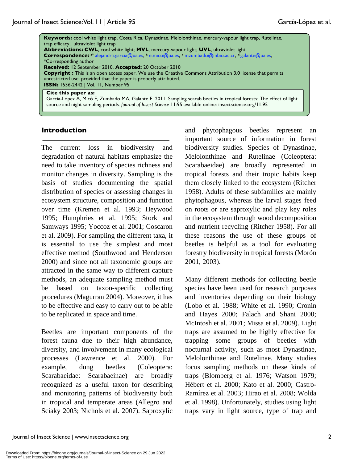| Keywords: cool white light trap, Costa Rica, Dynastinae, Melolonthinae, mercury-vapour light trap, Rutelinae,<br>trap efficacy, ultraviolet light trap<br><b>Abbreviations: CWL, cool white light; MVL, mercury-vapour light; UVL, ultraviolet light</b><br>Correspondence: <sup>a*</sup> alejandra.garcia@ua.es, b e.mico@ua.es, c mzumbado@inbio.ac.cr, d galante@ua.es,<br>*Corresponding author<br>Received: 12 September 2010, Accepted: 20 October 2010<br><b>Copyright:</b> This is an open access paper. We use the Creative Commons Attribution 3.0 license that permits<br>unrestricted use, provided that the paper is properly attributed.<br><b>ISSN: 1536-2442   Vol. 11, Number 95</b> |
|-------------------------------------------------------------------------------------------------------------------------------------------------------------------------------------------------------------------------------------------------------------------------------------------------------------------------------------------------------------------------------------------------------------------------------------------------------------------------------------------------------------------------------------------------------------------------------------------------------------------------------------------------------------------------------------------------------|
| Cite this paper as:<br>García-López A, Micó E, Zumbado MA, Galante E. 2011. Sampling scarab beetles in tropical forests: The effect of light<br>source and night sampling periods. Journal of Insect Science 11:95 available online: insectscience.org/11.95                                                                                                                                                                                                                                                                                                                                                                                                                                          |

#### **Introduction**

The current loss in biodiversity and degradation of natural habitats emphasize the need to take inventory of species richness and monitor changes in diversity. Sampling is the basis of studies documenting the spatial distribution of species or assessing changes in ecosystem structure, composition and function over time (Kremen et al. 1993; Heywood 1995; Humphries et al. 1995; Stork and Samways 1995; Yoccoz et al. 2001; Coscaron et al. 2009). For sampling the different taxa, it is essential to use the simplest and most effective method (Southwood and Henderson 2000) and since not all taxonomic groups are attracted in the same way to different capture methods, an adequate sampling method must be based on taxon-specific collecting procedures (Magurran 2004). Moreover, it has to be effective and easy to carry out to be able to be replicated in space and time.

Beetles are important components of the forest fauna due to their high abundance, diversity, and involvement in many ecological processes (Lawrence et al. 2000). For example, dung beetles (Coleoptera: Scarabaeidae: Scarabaeinae) are broadly recognized as a useful taxon for describing and monitoring patterns of biodiversity both in tropical and temperate areas (Allegro and Sciaky 2003; Nichols et al. 2007). Saproxylic and phytophagous beetles represent an important source of information in forest biodiversity studies. Species of Dynastinae, Melolonthinae and Rutelinae (Coleoptera: Scarabaeidae) are broadly represented in tropical forests and their tropic habits keep them closely linked to the ecosystem (Ritcher 1958). Adults of these subfamilies are mainly phytophagous, whereas the larval stages feed on roots or are saproxylic and play key roles in the ecosystem through wood decomposition and nutrient recycling (Ritcher 1958). For all these reasons the use of these groups of beetles is helpful as a tool for evaluating forestry biodiversity in tropical forests (Morón 2001, 2003).

Many different methods for collecting beetle species have been used for research purposes and inventories depending on their biology (Lobo et al. 1988; White et al. 1990; Cronin and Hayes 2000; Falach and Shani 2000; McIntosh et al. 2001; Missa et al. 2009). Light traps are assumed to be highly effective for trapping some groups of beetles with nocturnal activity, such as most Dynastinae, Melolonthinae and Rutelinae. Many studies focus sampling methods on these kinds of traps (Blomberg et al. 1976; Watson 1979; Hébert et al. 2000; Kato et al. 2000; Castro-Ramírez et al. 2003; Hirao et al. 2008; Wolda et al. 1998). Unfortunately, studies using light traps vary in light source, type of trap and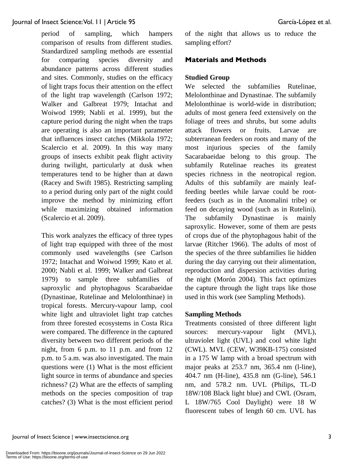period of sampling, which hampers comparison of results from different studies. Standardized sampling methods are essential for comparing species diversity and abundance patterns across different studies and sites. Commonly, studies on the efficacy of light traps focus their attention on the effect of the light trap wavelength (Carlson 1972; Walker and Galbreat 1979; Intachat and Woiwod 1999; Nabli et al. 1999), but the capture period during the night when the traps are operating is also an important parameter that influences insect catches (Mikkola 1972; Scalercio et al. 2009). In this way many groups of insects exhibit peak flight activity during twilight, particularly at dusk when temperatures tend to be higher than at dawn (Racey and Swift 1985). Restricting sampling to a period during only part of the night could improve the method by minimizing effort while maximizing obtained information (Scalercio et al. 2009).

This work analyzes the efficacy of three types of light trap equipped with three of the most commonly used wavelengths (see Carlson 1972; Intachat and Woiwod 1999; Kato et al. 2000; Nabli et al. 1999; Walker and Galbreat 1979) to sample three subfamilies of saproxylic and phytophagous Scarabaeidae (Dynastinae, Rutelinae and Melolonthinae) in tropical forests. Mercury**-**vapour lamp, cool white light and ultraviolet light trap catches from three forested ecosystems in Costa Rica were compared. The difference in the captured diversity between two different periods of the night, from 6 p.m. to 11 p.m. and from 12 p.m. to 5 a.m. was also investigated. The main questions were (1) What is the most efficient light source in terms of abundance and species richness? (2) What are the effects of sampling methods on the species composition of trap catches? (3) What is the most efficient period of the night that allows us to reduce the sampling effort?

# **Materials and Methods**

#### **Studied Group**

We selected the subfamilies Rutelinae, Melolonthinae and Dynastinae. The subfamily Melolonthinae is world-wide in distribution; adults of most genera feed extensively on the foliage of trees and shrubs, but some adults attack flowers or fruits. Larvae are subterranean feeders on roots and many of the most injurious species of the family Sacarabaeidae belong to this group. The subfamily Rutelinae reaches its greatest species richness in the neotropical region. Adults of this subfamily are mainly leaffeeding beetles while larvae could be rootfeeders (such as in the Anomalini tribe) or feed on decaying wood (such as in Rutelini). The subfamily Dynastinae is mainly saproxylic. However, some of them are pests of crops due of the phytophagous habit of the larvae (Ritcher 1966). The adults of most of the species of the three subfamilies lie hidden during the day carrying out their alimentation, reproduction and dispersion activities during the night (Morón 2004). This fact optimizes the capture through the light traps like those used in this work (see Sampling Methods).

#### **Sampling Methods**

Treatments consisted of three different light sources: mercury-vapour light (MVL), ultraviolet light (UVL) and cool white light (CWL). MVL (CEW, W39KB-175) consisted in a 175 W lamp with a broad spectrum with major peaks at 253.7 nm, 365.4 nm (l-line), 404.7 nm (H-line), 435.8 nm (G-line), 546.1 nm, and 578.2 nm. UVL (Philips, TL-D 18W/108 Black light blue) and CWL (Osram, L 18W/765 Cool Daylight) were 18 W fluorescent tubes of length 60 cm. UVL has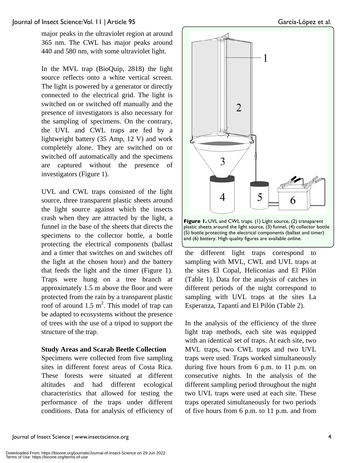major peaks in the ultraviolet region at around 365 nm. The CWL has major peaks around 440 and 580 nm, with some ultraviolet light.

In the MVL trap (BioQuip, 2818) the light source reflects onto a white vertical screen. The light is powered by a generator or directly connected to the electrical grid. The light is switched on or switched off manually and the presence of investigators is also necessary for the sampling of specimens. On the contrary, the UVL and CWL traps are fed by a lightweight battery (35 Amp, 12 V) and work completely alone. They are switched on or switched off automatically and the specimens are captured without the presence of investigators (Figure 1).

UVL and CWL traps consisted of the light source, three transparent plastic sheets around the light source against which the insects crash when they are attracted by the light, a funnel in the base of the sheets that directs the specimens to the collector bottle, a bottle protecting the electrical components (ballast and a timer that switches on and switches off the light at the chosen hour) and the battery that feeds the light and the timer (Figure 1). Traps were hung on a tree branch at approximately 1.5 m above the floor and were protected from the rain by a transparent plastic roof of around  $1.5 \text{ m}^2$ . This model of trap can be adapted to ecosystems without the presence of trees with the use of a tripod to support the structure of the trap.

#### **Study Areas and Scarab Beetle Collection**

Specimens were collected from five sampling sites in different forest areas of Costa Rica. These forests were situated at different altitudes and had different ecological characteristics that allowed for testing the performance of the traps under different conditions. Data for analysis of efficiency of



**Figure 1.** UVL and CWL traps. (1) Light source, (2) transparent plastic sheets around the light source, (3) funnel, (4) collector bottle (5) bottle protecting the electrical components (ballast and timer) and (6) battery. High quality figures are available online.

the different light traps correspond to sampling with MVL, CWL and UVL traps at the sites El Copal, Heliconias and El Pilón (Table 1). Data for the analysis of catches in different periods of the night correspond to sampling with UVL traps at the sites La Esperanza, Tapantí and El Pilón (Table 2).

In the analysis of the efficiency of the three light trap methods, each site was equipped with an identical set of traps. At each site, two MVL traps, two CWL traps and two UVL traps were used. Traps worked simultaneously during five hours from 6 p.m. to 11 p.m. on consecutive nights. In the analysis of the different sampling period throughout the night two UVL traps were used at each site. These traps operated simultaneously for two periods of five hours from 6 p.m. to 11 p.m. and from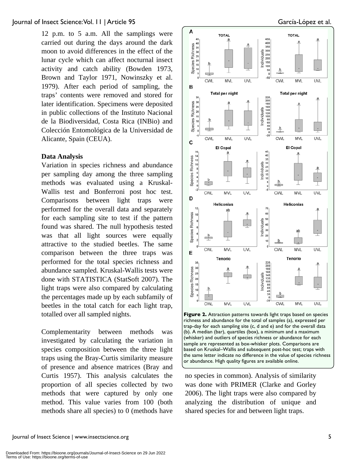12 p.m. to 5 a.m. All the samplings were carried out during the days around the dark moon to avoid differences in the effect of the lunar cycle which can affect nocturnal insect activity and catch ability (Bowden 1973, Brown and Taylor 1971, Nowinszky et al. 1979). After each period of sampling, the traps' contents were removed and stored for later identification. Specimens were deposited in public collections of the Instituto Nacional de la Biodiversidad, Costa Rica (INBio) and Colección Entomológica de la Universidad de Alicante, Spain (CEUA).

#### **Data Analysis**

Variation in species richness and abundance per sampling day among the three sampling methods was evaluated using a Kruskal-Wallis test and Bonferroni post hoc test. Comparisons between light traps were performed for the overall data and separately for each sampling site to test if the pattern found was shared. The null hypothesis tested was that all light sources were equally attractive to the studied beetles. The same comparison between the three traps was performed for the total species richness and abundance sampled. Kruskal-Wallis tests were done with STATISTICA (StatSoft 2007). The light traps were also compared by calculating the percentages made up by each subfamily of beetles in the total catch for each light trap, totalled over all sampled nights.

Complementarity between methods was investigated by calculating the variation in species composition between the three light traps using the Bray-Curtis similarity measure of presence and absence matrices (Bray and Curtis 1957). This analysis calculates the proportion of all species collected by two methods that were captured by only one method. This value varies from 100 (both methods share all species) to 0 (methods have



**Figure 2.** Attraction patterns towards light traps based on species richness and abundance for the total of samples (a), expressed per trap-day for each sampling site (c, d and e) and for the overall data (b). A median (bar), quartiles (box), a minimum and a maximum (whisker) and outliers of species richness or abundance for each sample are represented as box-whisker plots. Comparisons are based on Kruskal–Wallis and subsequent post-hoc test; traps with the same letter indicate no difference in the value of species richness or abundance. High quality figures are available online.

no species in common). Analysis of similarity was done with PRIMER (Clarke and Gorley 2006). The light traps were also compared by analyzing the distribution of unique and shared species for and between light traps.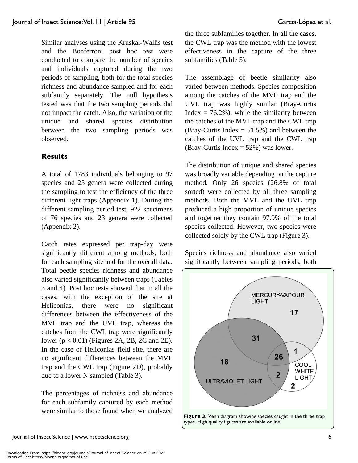conducted to compare the number of species and individuals captured during the two periods of sampling, both for the total species richness and abundance sampled and for each subfamily separately. The null hypothesis tested was that the two sampling periods did not impact the catch. Also, the variation of the unique and shared species distribution between the two sampling periods was observed.

# **Results**

A total of 1783 individuals belonging to 97 species and 25 genera were collected during the sampling to test the efficiency of the three different light traps (Appendix 1). During the different sampling period test, 922 specimens of 76 species and 23 genera were collected (Appendix 2).

Catch rates expressed per trap-day were significantly different among methods, both for each sampling site and for the overall data. Total beetle species richness and abundance also varied significantly between traps (Tables 3 and 4). Post hoc tests showed that in all the cases, with the exception of the site at Heliconias, there were no significant differences between the effectiveness of the MVL trap and the UVL trap, whereas the catches from the CWL trap were significantly lower (p < 0.01) (Figures 2A, 2B, 2C and 2E). In the case of Heliconias field site, there are no significant differences between the MVL trap and the CWL trap (Figure 2D), probably due to a lower N sampled (Table 3).

The percentages of richness and abundance for each subfamily captured by each method were similar to those found when we analyzed the three subfamilies together. In all the cases, the CWL trap was the method with the lowest effectiveness in the capture of the three subfamilies (Table 5).

The assemblage of beetle similarity also varied between methods. Species composition among the catches of the MVL trap and the UVL trap was highly similar (Bray-Curtis Index  $= 76.2\%$ ), while the similarity between the catches of the MVL trap and the CWL trap (Bray-Curtis Index  $= 51.5\%$ ) and between the catches of the UVL trap and the CWL trap (Bray-Curtis Index  $= 52\%$ ) was lower.

The distribution of unique and shared species was broadly variable depending on the capture method. Only 26 species (26.8% of total sorted) were collected by all three sampling methods. Both the MVL and the UVL trap produced a high proportion of unique species and together they contain 97.9% of the total species collected. However, two species were collected solely by the CWL trap (Figure 3).

Species richness and abundance also varied significantly between sampling periods, both

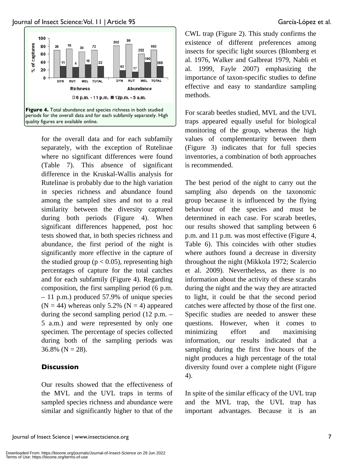

for the overall data and for each subfamily separately, with the exception of Rutelinae where no significant differences were found (Table 7). This absence of significant difference in the Kruskal-Wallis analysis for Rutelinae is probably due to the high variation in species richness and abundance found among the sampled sites and not to a real similarity between the diversity captured during both periods (Figure 4). When significant differences happened, post hoc tests showed that, in both species richness and abundance, the first period of the night is significantly more effective in the capture of the studied group ( $p < 0.05$ ), representing high percentages of capture for the total catches and for each subfamily (Figure 4). Regarding composition, the first sampling period (6 p.m. – 11 p.m.) produced 57.9% of unique species  $(N = 44)$  whereas only 5.2%  $(N = 4)$  appeared during the second sampling period (12 p.m. – 5 a.m.) and were represented by only one specimen. The percentage of species collected during both of the sampling periods was  $36.8\%$  (N = 28).

# **Discussion**

Our results showed that the effectiveness of the MVL and the UVL traps in terms of sampled species richness and abundance were similar and significantly higher to that of the CWL trap (Figure 2). This study confirms the existence of different preferences among insects for specific light sources (Blomberg et al. 1976, Walker and Galbreat 1979, Nabli et al. 1999, Fayle 2007) emphasizing the importance of taxon-specific studies to define effective and easy to standardize sampling methods.

For scarab beetles studied, MVL and the UVL traps appeared equally useful for biological monitoring of the group, whereas the high values of complementarity between them (Figure 3) indicates that for full species inventories, a combination of both approaches is recommended.

The best period of the night to carry out the sampling also depends on the taxonomic group because it is influenced by the flying behaviour of the species and must be determined in each case. For scarab beetles, our results showed that sampling between 6 p.m. and 11 p.m. was most effective (Figure 4, Table 6). This coincides with other studies where authors found a decrease in diversity throughout the night (Mikkola 1972; Scalercio et al. 2009). Nevertheless, as there is no information about the activity of these scarabs during the night and the way they are attracted to light, it could be that the second period catches were affected by those of the first one. Specific studies are needed to answer these questions. However, when it comes to minimizing effort and maximising information, our results indicated that a sampling during the first five hours of the night produces a high percentage of the total diversity found over a complete night (Figure 4).

In spite of the similar efficacy of the UVL trap and the MVL trap, the UVL trap has important advantages. Because it is an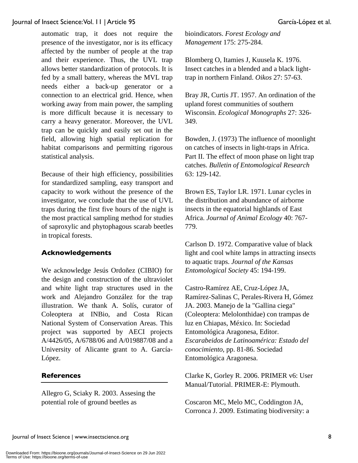automatic trap, it does not require the presence of the investigator, nor is its efficacy affected by the number of people at the trap and their experience. Thus, the UVL trap allows better standardization of protocols. It is fed by a small battery, whereas the MVL trap needs either a back-up generator or a connection to an electrical grid. Hence, when working away from main power, the sampling is more difficult because it is necessary to carry a heavy generator. Moreover, the UVL trap can be quickly and easily set out in the field, allowing high spatial replication for habitat comparisons and permitting rigorous statistical analysis.

Because of their high efficiency, possibilities for standardized sampling, easy transport and capacity to work without the presence of the investigator, we conclude that the use of UVL traps during the first five hours of the night is the most practical sampling method for studies of saproxylic and phytophagous scarab beetles in tropical forests.

# **Acknowledgements**

We acknowledge Jesús Ordoñez (CIBIO) for the design and construction of the ultraviolet and white light trap structures used in the work and Alejandro González for the trap illustration. We thank A. Solís, curator of Coleoptera at INBio, and Costa Rican National System of Conservation Areas. This project was supported by AECI projects A/4426/05, A/6788/06 and A/019887/08 and a University of Alicante grant to A. García-López.

# **References**

Allegro G, Sciaky R. 2003. Assesing the potential role of ground beetles as

bioindicators. *Forest Ecology and Management* 175: 275-284.

Blomberg O, Itamies J, Kuusela K. 1976. Insect catches in a blended and a black lighttrap in northern Finland. *Oikos* 27: 57-63.

Bray JR, Curtis JT. 1957. An ordination of the upland forest communities of southern Wisconsin. *Ecological Monographs* 27: 326- 349.

Bowden, J. (1973) The influence of moonlight on catches of insects in light-traps in Africa. Part II. The effect of moon phase on light trap catches. *Bulletin of Entomological Research* 63: 129-142.

Brown ES, Taylor LR. 1971. Lunar cycles in the distribution and abundance of airborne insects in the equatorial highlands of East Africa. *Journal of Animal Ecology* 40: 767- 779.

Carlson D. 1972. Comparative value of black light and cool white lamps in attracting insects to aquatic traps. *Journal of the Kansas Entomological Society* 45: 194-199.

Castro-Ramírez AE, Cruz-López JA, Ramírez-Salinas C, Perales-Rivera H, Gómez JA. 2003. Manejo de la "Gallina ciega" (Coleoptera: Melolonthidae) con trampas de luz en Chiapas, México. In: Sociedad Entomológica Aragonesa, Editor. *Escarabeidos de Latinoamérica: Estado del conocimiento*, pp. 81-86. Sociedad Entomológica Aragonesa.

Clarke K, Gorley R. 2006. PRIMER v6: User Manual/Tutorial. PRIMER-E: Plymouth.

Coscaron MC, Melo MC, Coddington JA, Corronca J. 2009. Estimating biodiversity: a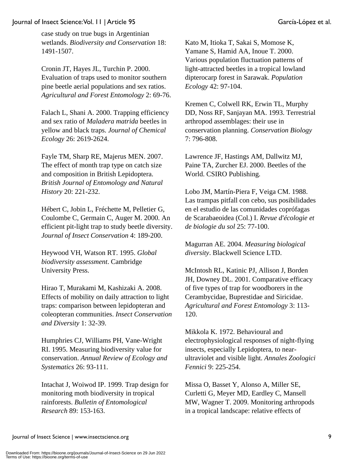case study on true bugs in Argentinian wetlands. *Biodiversity and Conservation* 18: 1491-1507.

Cronin JT, Hayes JL, Turchin P. 2000. Evaluation of traps used to monitor southern pine beetle aerial populations and sex ratios. *Agricultural and Forest Entomology* 2: 69-76.

Falach L, Shani A. 2000. Trapping efficiency and sex ratio of *Maladera matrida* beetles in yellow and black traps. *Journal of Chemical Ecology* 26: 2619-2624.

Fayle TM, Sharp RE, Majerus MEN. 2007. The effect of month trap type on catch size and composition in British Lepidoptera. *British Journal of Entomology and Natural History* 20: 221-232.

Hébert C, Jobin L, Fréchette M, Pelletier G, Coulombe C, Germain C, Auger M. 2000. An efficient pit-light trap to study beetle diversity. *Journal of Insect Conservation* 4: 189-200.

Heywood VH, Watson RT. 1995. *Global biodiversity assessment*. Cambridge University Press.

Hirao T, Murakami M, Kashizaki A. 2008. Effects of mobility on daily attraction to light traps: comparison between lepidopteran and coleopteran communities. *Insect Conservation and Diversity* 1: 32-39.

Humphries CJ, Williams PH, Vane-Wright RI. 1995. Measuring biodiversity value for conservation. *Annual Review of Ecology and Systematics* 26: 93-111.

Intachat J, Woiwod IP. 1999. Trap design for monitoring moth biodiversity in tropical rainforests. *Bulletin of Entomological Research* 89: 153-163.

Kato M, Itioka T, Sakai S, Momose K, Yamane S, Hamid AA, Inoue T. 2000. Various population fluctuation patterns of light-attracted beetles in a tropical lowland dipterocarp forest in Sarawak. *Population Ecology* 42: 97-104.

Kremen C, Colwell RK, Erwin TL, Murphy DD, Noss RF, Sanjayan MA. 1993. Terrestrial arthropod assemblages: their use in conservation planning. *Conservation Biology*  7: 796-808.

Lawrence JF, Hastings AM, Dallwitz MJ, Paine TA, Zurcher EJ. 2000. Beetles of the World. CSIRO Publishing*.*

Lobo JM, Martín-Piera F, Veiga CM. 1988. Las trampas pitfall con cebo, sus posibilidades en el estudio de las comunidades coprófagas de Scarabaeoidea (Col.) I. *Revue d'écologie et de biologie du sol* 25: 77-100.

Magurran AE. 2004. *Measuring biological diversity*. Blackwell Science LTD.

McIntosh RL, Katinic PJ, Allison J, Borden JH, Downey DL. 2001. Comparative efficacy of five types of trap for woodborers in the Cerambycidae, Buprestidae and Siricidae. *Agricultural and Forest Entomology* 3: 113- 120.

Mikkola K. 1972. Behavioural and electrophysiological responses of night-flying insects, especially Lepidoptera, to nearultraviolet and visible light. *Annales Zoologici Fennici* 9: 225-254.

Missa O, Basset Y, Alonso A, Miller SE, Curletti G, Meyer MD, Eardley C, Mansell MW, Wagner T. 2009. Monitoring arthropods in a tropical landscape: relative effects of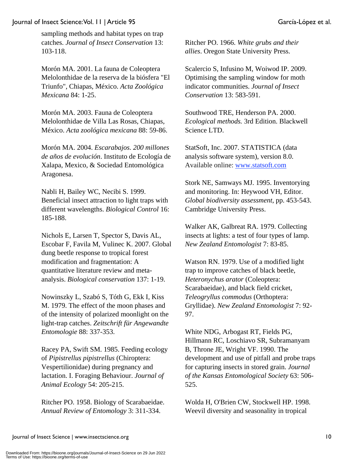sampling methods and habitat types on trap catches. *Journal of Insect Conservation* 13: 103-118.

Morón MA. 2001. La fauna de Coleoptera Melolonthidae de la reserva de la biósfera "El Triunfo", Chiapas, México. *Acta Zoológica Mexicana* 84: 1-25.

Morón MA. 2003. Fauna de Coleoptera Melolonthidae de Villa Las Rosas, Chiapas, México. *Acta zoológica mexicana* 88: 59-86.

Morón MA. 2004. *Escarabajos. 200 millones de años de evolución*. Instituto de Ecología de Xalapa, Mexico, & Sociedad Entomológica Aragonesa.

Nabli H, Bailey WC, Necibi S. 1999. Beneficial insect attraction to light traps with different wavelengths. *Biological Control* 16: 185-188.

Nichols E, Larsen T, Spector S, Davis AL, Escobar F, Favila M, Vulinec K. 2007. Global dung beetle response to tropical forest modification and fragmentation: A quantitative literature review and metaanalysis. *Biological conservation* 137: 1-19.

Nowinszky L, Szabó S, Tóth G, Ekk I, Kiss M. 1979. The effect of the moon phases and of the intensity of polarized moonlight on the light-trap catches. *Zeitschrift für Angewandte Entomologie* 88: 337-353.

Racey PA, Swift SM. 1985. Feeding ecology of *Pipistrellus pipistrellus* (Chiroptera: Vespertilionidae) during pregnancy and lactation. I. Foraging Behaviour. *Journal of Animal Ecology* 54: 205-215.

Ritcher PO. 1958. Biology of Scarabaeidae. *Annual Review of Entomology* 3: 311-334.

Ritcher PO. 1966. *White grubs and their allies*. Oregon State University Press.

Scalercio S, Infusino M, Woiwod IP. 2009. Optimising the sampling window for moth indicator communities. *Journal of Insect Conservation* 13: 583-591.

Southwood TRE, Henderson PA. 2000. *Ecological methods.* 3rd Edition. Blackwell Science LTD.

StatSoft, Inc. 2007. STATISTICA (data analysis software system), version 8.0. Available online: www.statsoft.com

Stork NE, Samways MJ. 1995. Inventorying and monitoring. In: Heywood VH, Editor. *Global biodiversity assessment*, pp. 453-543. Cambridge University Press.

Walker AK, Galbreat RA. 1979. Collecting insects at lights: a test of four types of lamp. *New Zealand Entomologist* 7: 83-85.

Watson RN. 1979. Use of a modified light trap to improve catches of black beetle, *Heteronychus arator* (Coleoptera: Scarabaeidae), and black field cricket, *Teleogryllus commodus* (Orthoptera: Gryllidae). *New Zealand Entomologist* 7: 92- 97.

White NDG, Arbogast RT, Fields PG, Hillmann RC, Loschiavo SR, Subramanyam B, Throne JE, Wright VF. 1990. The development and use of pitfall and probe traps for capturing insects in stored grain. *Journal of the Kansas Entomological Society* 63: 506- 525.

Wolda H, O'Brien CW, Stockwell HP. 1998. Weevil diversity and seasonality in tropical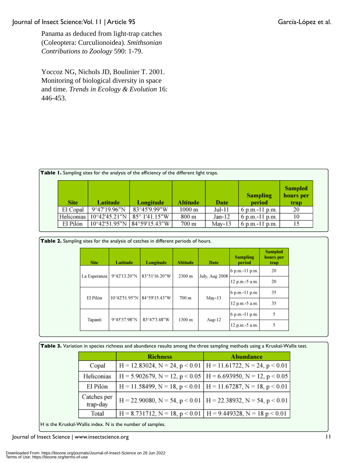Panama as deduced from light-trap catches (Coleoptera: Curculionoidea). *Smithsonian Contributions to Zoology* 590: 1-79.

Yoccoz NG, Nichols JD, Boulinier T. 2001. Monitoring of biological diversity in space and time. *Trends in Ecology & Evolution* 16: 446-453.

|             |               | <b>Table 1.</b> Sampling sites for the analysis of the efficiency of the different light traps. |          |          |                           |                                     |
|-------------|---------------|-------------------------------------------------------------------------------------------------|----------|----------|---------------------------|-------------------------------------|
| <b>Site</b> | Latitude      | Longitude                                                                                       | Altitude | Date     | <b>Sampling</b><br>period | <b>Sampled</b><br>hours per<br>trap |
| El Copal    | 9°47'19.96"N  | 83°45'9.99"W                                                                                    | 1000 m   | Jul-11   | 6 p.m.-11 p.m.            | 20                                  |
| Heliconias  | 10°42'45.21"N | $85^{\circ}$ 1'41.15"W                                                                          | 800 m    | $Jan-12$ | 6 p.m.-11 p.m.            | 10                                  |
| El Pilón    |               | 10°42'51.95"N 84°59'15.43"W                                                                     | 700 m    | May-13   | 6 p.m.-11 p.m.            |                                     |

| <b>Site</b>  | Latitude      | Longitude                        | <b>Altitude</b> | Date                  | <b>Sampling</b><br>period | <b>Sampled</b><br>hours per<br>trap |
|--------------|---------------|----------------------------------|-----------------|-----------------------|---------------------------|-------------------------------------|
|              | 9°42′13.20″N  | 83°51'16.20"W                    | 2300 m          | <b>July, Aug 2008</b> | 6 p.m.-11 p.m.            | 20                                  |
| La Esperanza |               |                                  |                 |                       | 12 p.m.-5 a.m.            | 20                                  |
|              | 10°42'51.95"N | 84°59'15.43"W<br>May-13<br>700 m |                 |                       | 6 p.m.-11 p.m.            | 35                                  |
| El Pilón     |               |                                  |                 |                       | 12 p.m.-5 a.m.            | 35                                  |
|              |               |                                  |                 | 6 p.m.-11 p.m.        | 5                         |                                     |
| Tapanti      | 9°45'37.98"N  | 83°47'3.48"W                     | 1300 m          | Aug- $12$             | 12 p.m.-5 a.m.            | 5                                   |

|  |  |  |  | Table 3. Variation in species richness and abundance results among the three sampling methods using a Kruskal-Wallis test. |  |
|--|--|--|--|----------------------------------------------------------------------------------------------------------------------------|--|
|  |  |  |  |                                                                                                                            |  |

|                         | <b>Richness</b>                                                               | <b>Abundance</b>                                                                |
|-------------------------|-------------------------------------------------------------------------------|---------------------------------------------------------------------------------|
| Copal                   | $H = 12.83024$ , N = 24, p < 0.01   H = 11.61722, N = 24, p < 0.01            |                                                                                 |
| Heliconias              |                                                                               | H = 5.902679, N = 12, p < 0.05   H = 6.693950, N = 12, p < 0.05                 |
| El Pilón                | $H = 11.58499$ , N = 18, p < 0.01   H = 11.67287, N = 18, p < 0.01            |                                                                                 |
| Catches per<br>trap-day |                                                                               | $H = 22.90080$ , $N = 54$ , $p < 0.01$   $H = 22.38932$ , $N = 54$ , $p < 0.01$ |
| Total                   | $H = 8.731712$ , $N = 18$ , $p < 0.01$   $H = 9.449328$ , $N = 18$ $p < 0.01$ |                                                                                 |

H is the Kruskal-Wallis index. N is the number of samples.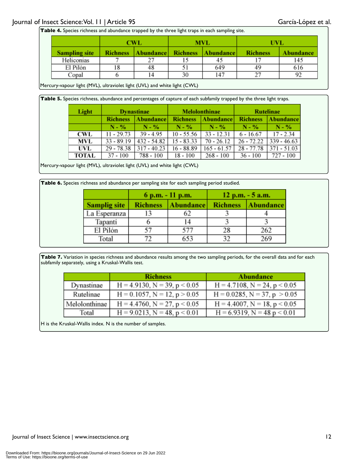|                      | <b>CWL</b>      |           |                 | <b>MVL</b> | <b>UVL</b>      |           |  |
|----------------------|-----------------|-----------|-----------------|------------|-----------------|-----------|--|
| <b>Sampling site</b> | <b>Richness</b> | Abundance | <b>Richness</b> | Abundance  | <b>Richness</b> | Abundance |  |
| Heliconias           |                 | 27        |                 | 45         | . .             | 145       |  |
| El Pilón             | 18              | 48        |                 | 649        | 49              | 616       |  |
| Copal                |                 | 14        | 30              | 147        | າາ              | 92        |  |

Mercury-vapour light (MVL), ultraviolet light (UVL) and white light (CWL)

Table 5. Species richness, abundance and percentages of capture of each subfamily trapped by the three light traps.

| Light      | <b>Dynastinae</b> |                        |                 | <b>Melolonthinae</b> | <b>Rutelinae</b> |                  |  |
|------------|-------------------|------------------------|-----------------|----------------------|------------------|------------------|--|
|            | <b>Richness</b>   | Abundance <sup>y</sup> | <b>Richness</b> | <b>Abundance</b>     | <b>Richness</b>  | <b>Abundance</b> |  |
|            | N - %             | N - %                  | $N - \%$        | $N - \%$             | $N - \%$         | $N - \%$         |  |
| <b>CWL</b> | 11 - 29.73        | $39 - 4.95$            | $10 - 55.56$    | $33 - 12.31$         | $6 - 16.67$      | $17 - 2.34$      |  |
| MVL        | $33 - 89.19$      | $432 - 54.82$          | $15 - 83.33$    | $70 - 26.12$         | $26 - 72.22$     | $339 - 46.63$    |  |
| UVL        | 29 - 78.38        | $317 - 40.23$          | $16 - 88.89$    | $165 - 61.57$        | $28 - 77.78$     | $371 - 51.03$    |  |
| TOTAL      | $37 - 100$        | 788 - 100              | 18 - 100        | $268 - 100$          | $36 - 100$       | 727 - 100        |  |

Mercury-vapour light (MVL), ultraviolet light (UVL) and white light (CWL)

**Table 6.** Species richness and abundance per sampling site for each sampling period studied.

|                     |                 | 6 p.m. - 11 p.m. | $12 p.m. - 5 a.m.$ |                  |  |  |
|---------------------|-----------------|------------------|--------------------|------------------|--|--|
| <b>Samplig site</b> | <b>Richness</b> | Abundance        | <b>Richness</b>    | <b>Abundance</b> |  |  |
| La Esperanza        | 13              | 62               |                    |                  |  |  |
| Tapanti             |                 | 14               |                    |                  |  |  |
| El Pilón            | 57              | 577              | 28                 | 262              |  |  |
| Total               | 72              | 653              | 32                 | 269              |  |  |

Table 7. Variation in species richness and abundance results among the two sampling periods, for the overall data and for each subfamily separately, using a Kruskal-Wallis test.

|               | <b>Richness</b>                      | <b>Abundance</b>                     |
|---------------|--------------------------------------|--------------------------------------|
| Dynastinae    | $H = 4.9130$ , $N = 39$ , $p < 0.05$ | $H = 4.7108$ , $N = 24$ , $p < 0.05$ |
| Rutelinae     | $H = 0.1057$ , $N = 12$ , $p > 0.05$ | $H = 0.0285$ , $N = 37$ , $p > 0.05$ |
| Melolonthinae | $H = 4.4760$ , $N = 27$ , $p < 0.05$ | $H = 4.4007$ , $N = 18$ , $p < 0.05$ |
| Total         | $H = 9.0213$ , $N = 48$ , $p < 0.01$ | $H = 6.9319$ , $N = 48 p < 0.01$     |

H is the Kruskal-Wallis index. N is the number of samples.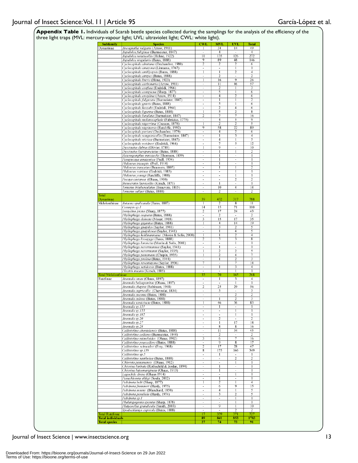|                                                  | three light traps (MVL: mercury-vapour light; UVL: ultraviolet light; CWL: white light). |                                                      |                                  |                               |                         |
|--------------------------------------------------|------------------------------------------------------------------------------------------|------------------------------------------------------|----------------------------------|-------------------------------|-------------------------|
| <b>Subfamily</b><br>Dynastinae                   | <b>Species</b><br>Ancognatha vulgaris (Arrow, 1911)                                      | <b>CWI</b>                                           | <b>MVI</b><br>34                 | <b>UVI</b><br>14              | <b>Total</b><br>49      |
|                                                  | Aspidolea fuliginea (Burmeister, 1847)                                                   | $\overline{\phantom{a}}$                             | $\overline{4}$                   | ÷                             | $\overline{4}$          |
|                                                  | Aspidolea notaticollis (Hohne, 1922)                                                     | $_{11}$                                              | 135                              | 126                           | 272                     |
|                                                  | Aspidolea singularis (Bates, 1888)                                                       | 9<br>$\overline{2}$                                  | 89                               | 48                            | 146                     |
|                                                  | Cyclocephala almitana (Dechambre, 1980)<br>Cyclocephala amazona (Linnaeus, 1767)         | $\centering \label{eq:reduced}$                      | 2<br>$\overline{\phantom{a}}$    | $\overline{2}$                | 6<br>1                  |
|                                                  | Cyclocephala amblyopsis (Bates, 1888)                                                    | 1                                                    | 1                                | 2                             | $\overline{4}$          |
|                                                  | Cyclocephala atripes (Bates, 1888)                                                       | $\overline{\phantom{a}}$                             | 2                                | $\blacksquare$                | $\overline{2}$          |
|                                                  | Cyclocephala brevis (Höne, 1923)                                                         | $\mathbf{I}$                                         | 16                               | $\overline{9}$<br>46          | $\overline{26}$<br>57   |
|                                                  | Cyclocephala carbonaria (Arrow, 1911)<br>Cyclocephala confusa (Endrödi, 1966)            | $\overline{\phantom{a}}$<br>$\blacksquare$           | 11<br>2                          |                               | 3                       |
|                                                  | Cyclocephala conspicua (Sharp, 1877)                                                     | $\overline{\phantom{a}}$                             | 5                                |                               | 6                       |
|                                                  | Cyclocephala erotylina (Arrow, 1914)                                                     | $\overline{\phantom{a}}$                             | $\overline{4}$                   | $\overline{2}$                | 6                       |
|                                                  | Cyclocephala fulgurata (Burmeister, 1847)<br>Cyclocephala gravis (Bates, 1888)           | $\overline{\phantom{a}}$<br>$\overline{\phantom{a}}$ | 5                                |                               | $\overline{2}$<br>6     |
|                                                  | Cyclocephala kaszabi (Endrödi, 1964)                                                     | $\overline{\phantom{a}}$                             | $\overline{2}$                   | 4                             | 6                       |
|                                                  | Cyclocephala ligurina (Bates, 1888)                                                      | 1                                                    | 5                                | $\overline{2}$                | $\overline{\mathbf{8}}$ |
|                                                  | Cyclocephala lunulata (Burmeister, 1847)                                                 | 2                                                    | 7                                | 7                             | 16                      |
|                                                  | Cyclocephala melanocephala (Fabricius, 1775)<br>Cyclocephala nigerrima (Cresson, 1878)   | $\blacksquare$<br>1                                  | 4<br>$\overline{2}$              | 5<br>$\overline{2}$           | 9<br>5                  |
|                                                  | Cyclocephala nigritarsis (Ratcliffe, 1992)                                               | 9                                                    | 58                               | 22                            | 89                      |
|                                                  | Cyclocephala porioni (Dechambre, 1979)                                                   | $\overline{\phantom{a}}$                             | 4                                | 2                             | 6                       |
|                                                  | Cyclocephala sanguinicollis (Burmeister, 1847)                                           | ٠                                                    | $\mathbf{1}$                     | 3                             | 4                       |
|                                                  | Cyclocephala stictica (Burmeister, 1847)                                                 | $\overline{\phantom{a}}$<br>٠                        | $\overline{4}$<br>7              | 1                             | 5<br>$\overline{12}$    |
|                                                  | Cyclocephala weidneri (Endrödi, 1964)<br>Dyscinetus dubius (Olivier, 1789)               |                                                      | 9                                | 5<br>$\overline{\phantom{a}}$ | 10                      |
|                                                  | Dyscinetus laevipunctatus (Bates, 1888)                                                  | $\overline{\phantom{a}}$                             |                                  | 1                             | $\overline{2}$          |
|                                                  | Heterogomphus mniszechi (Thomson, 1859)                                                  | $\overline{\phantom{a}}$                             | 1                                |                               | 1                       |
|                                                  | Parapucaya amazonica (Prell, 1934)                                                       | ٠                                                    |                                  | ٠                             |                         |
|                                                  | Phileurus tricuspis (Prell, 1914)                                                        | $\overline{\phantom{a}}$<br>$\overline{\phantom{a}}$ | 1<br>1                           | $\blacksquare$<br>1           | 1<br>2                  |
|                                                  | Phileurus truncatus (Beauvois, 1805)<br>Phileurus voirinae (Endrödi, 1985)               | $\blacksquare$                                       | $\blacksquare$                   | 1                             | 1                       |
|                                                  | Phileurus youngi (Ratcliffe, 1988)                                                       | $\overline{\phantom{a}}$                             | $\blacksquare$                   |                               | 1                       |
|                                                  | Pucaya castanea (Ohaus, 1910)                                                            | $\overline{\phantom{a}}$                             | $\blacksquare$                   | 2                             | 2                       |
|                                                  | Stenocrates laevicollis (Kirsch, 1871)                                                   | $\overline{\phantom{a}}$                             | $\mathbf{I}$                     |                               | 1                       |
|                                                  | Tomarus bituberculatus (Beauvois, 1805)<br>Tomarus sallaei (Bates, 1888)                 | $\overline{\phantom{a}}$<br>٠                        | 10<br>2                          | 4<br>$\blacksquare$           | 14<br>2                 |
| Total                                            |                                                                                          |                                                      |                                  |                               |                         |
| Dynastinae                                       |                                                                                          | 39                                                   | 432                              | 317                           | 788                     |
| Melolonthinae                                    | Astaena opalicauda (Bates, 1887)                                                         | 1                                                    | $\overline{2}$                   | 8                             | 11                      |
|                                                  | Ceraspis sp.1<br>Isonychus pictus (Sharp, 1877)                                          | 14<br>2                                              | 15<br>17                         | 71<br>24                      | 100<br>43               |
|                                                  | Phyllophaga aequata (Bates, 1888)                                                        |                                                      | $\overline{2}$                   |                               | $\overline{2}$          |
|                                                  | Phyllophaga densata (Moser, 1918)                                                        | 3                                                    | 15                               | 17                            | $\overline{35}$         |
|                                                  | Phyllophaga gigantea (Bates, 1888)                                                       | 1                                                    | 4                                | 14                            | $\overline{19}$         |
|                                                  | Phyllophaga guapiles (Saylor, 1941)                                                      | $\overline{\phantom{a}}$                             | 3                                | $\overline{\mathbf{c}}$       | 5                       |
|                                                  | Phyllophaga guapilesea (Saylor, 1941)<br>Phyllophaga kohlmanniana (Morón & Solís, 2000)  | $\overline{\phantom{a}}$                             | 1                                | 4                             | 5                       |
|                                                  | Phyllophaga lissopyge (Bates, 1888)                                                      | 1<br>2                                               | 1<br>3                           | $\overline{\mathbf{c}}$<br>3  | $\overline{4}$<br>8     |
|                                                  | Phyllophaga lorencita (Morón & Solís, 2001)                                              | $\overline{\phantom{a}}$                             | $\blacksquare$                   | 1                             | 1                       |
|                                                  | Phyllophaga nevermannea (Saylor, 1941)                                                   | ×                                                    | 1                                | $\blacksquare$                | 1                       |
|                                                  | Phyllophaga nevermanni (Saylor, 1935)                                                    | 1                                                    | 2                                | 2                             | 5                       |
|                                                  | Phyllophaga panamana (Chapin, 1935)<br>Phyllophaga prolixa (Bates, 1944)                 | 1                                                    | 2<br>1                           | 4<br>$\overline{2}$           | 7<br>3                  |
|                                                  | Phyllophaga reventazona (Saylor, 1936)                                                   | $\overline{\phantom{a}}$<br>7                        | $\blacksquare$                   | 7                             | 14                      |
|                                                  | Phyllophaga setidorsis (Bates, 1888)                                                     | $\overline{\phantom{a}}$                             | 1                                | 3                             | $\overline{4}$          |
|                                                  | Plectris micans (Kirsch, 1885)                                                           |                                                      | $\overline{a}$                   | 1                             | T                       |
| <b>Total Melolonthinae</b><br>Rutelinae          | Anomala oreas (Ohaus, 1897)                                                              | 33<br>$\overline{\phantom{a}}$                       | 70<br>1                          | 165<br>3                      | 268<br>4                |
|                                                  | Anomala balzapambae (Ohaus, 1897)                                                        | $\overline{\phantom{a}}$                             | $\blacksquare$                   | 1                             | 1                       |
|                                                  | Anomala chapini (Robinson, 1948)                                                         | 2                                                    | 25                               | 29                            | 56                      |
|                                                  | Anomala cupricollis (Chevrolat, 1834)                                                    |                                                      | 3                                |                               | 3                       |
|                                                  | Anomala eucoma (Bates, 1888)                                                             | $\overline{\phantom{a}}$                             | $\overline{\phantom{a}}$         | 2                             | 2                       |
|                                                  | Anomala eulissa (Bates, 1888)<br>Anomala semicincta (Bates, 1888)                        | $\blacksquare$<br>T                                  | -1<br>46                         | 2<br>36                       | 3<br>83                 |
|                                                  | Anomala sp.131                                                                           | $\overline{\phantom{a}}$                             | 1                                | $\blacksquare$                | 1                       |
|                                                  | Anomala sp.133                                                                           | $\overline{\phantom{a}}$                             | $\blacksquare$                   | 1                             | 1                       |
|                                                  | Anomala sp.182                                                                           | $\blacksquare$                                       | $\overline{\phantom{a}}$         | 1                             | 1                       |
|                                                  | Anomala sp.20                                                                            | $\overline{\phantom{a}}$                             | $\overline{2}$                   | $\overline{\phantom{a}}$      | $\overline{\mathbf{c}}$ |
|                                                  | Anomala sp.27<br>Anomala sp.28                                                           | $\overline{\phantom{a}}$<br>٠                        | 8                                | $_{17}$<br>8                  | 18<br>16                |
|                                                  | Callistethus chontalensis (Bates, 1888)                                                  | $\overline{\phantom{a}}$                             | 11                               | 34                            | 45                      |
|                                                  | Callistethus collares (Burmeister, 1844)                                                 | ä,                                                   | $\overline{2}$                   | ×                             | $\overline{2}$          |
|                                                  | Callistethus mimeloides (Ohaus, 1902)                                                    | 3                                                    | 6                                | 7                             | 16                      |
|                                                  | Callistethus praecellens (Bates, 1888)                                                   | $\blacksquare$                                       | 9                                | 8                             | 17                      |
|                                                  | Callistethus schneideri (Frey, 1968)                                                     | $\overline{2}$<br>$\overline{8}$                     | 17<br>175                        | 28<br>166                     | 47<br>349               |
|                                                  | Callistethus sp.138<br>Callistethus sp.5                                                 | $\overline{\phantom{a}}$                             | 1                                | $\blacksquare$                | 1                       |
|                                                  | Callistethus xantholea (Bates, 1888)                                                     | $\overline{\phantom{a}}$                             | $\blacksquare$                   | 2                             | 2                       |
|                                                  | Chlorota panamensis (Ohaus, 1912)                                                        | $\overline{\phantom{a}}$                             | $\blacksquare$                   | 1                             | 1                       |
|                                                  |                                                                                          | $\blacksquare$                                       | 1                                | $\blacksquare$                | 1                       |
|                                                  | Chrysina limbata (Rothschild & Jordan, 1894)                                             |                                                      |                                  |                               |                         |
|                                                  | Chrysina luteomarginata (Ohaus, 1913)                                                    | $\overline{\phantom{a}}$                             | 1<br>÷,                          | $\overline{\phantom{a}}$      | 1                       |
|                                                  | Lagochile divisa (Ohaus 1914)                                                            | $\overline{\phantom{a}}$<br>$\overline{\phantom{a}}$ | 1                                | $\blacksquare$                | 1                       |
|                                                  | Parachlorota uhligi (Soula, 2002)<br>Pelidnota belti (Sharp, 1877)                       | 1                                                    | $\overline{2}$                   |                               | 4                       |
|                                                  | Pelidnota frommeri (Hardy, 1975)                                                         | ٠                                                    | 6                                | 9                             | 15                      |
|                                                  | Pelidnota notata (Blanchard, 1850)                                                       | $\overline{\phantom{a}}$                             | 4                                |                               | 5                       |
|                                                  | Pelidnota parallela (Hardy, 1974)                                                        | ٠                                                    | 3                                | $\overline{2}$                | 5                       |
|                                                  | Pelidnota sp.1                                                                           | $\overline{\phantom{a}}$<br>$\blacksquare$           | $\blacksquare$<br>$\overline{a}$ | 1                             | 1                       |
|                                                  | Phalangogonia sperata (Sharp, 1878)<br>Platycoellia grandicula (Smith, 2003)             | $\overline{\phantom{a}}$                             | $\overline{9}$                   | 1                             | 10                      |
|                                                  | Spodochlamys cupreola (Bates, 1888)                                                      | $\overline{\phantom{a}}$                             | $\overline{\phantom{a}}$         | $\overline{2}$                | $\overline{2}$          |
| <b>Total Rutelinae</b>                           |                                                                                          | 17                                                   | 339                              | 371                           | 727                     |
| <b>Total individuals</b><br><b>Total species</b> |                                                                                          | 89<br>27                                             | 841<br>74                        | 853<br>73                     | 1783<br>91              |